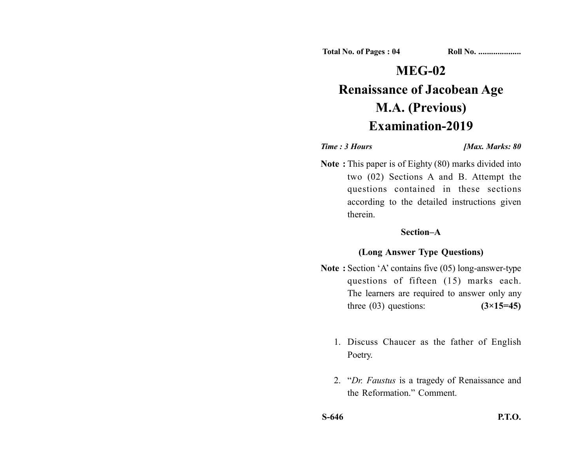**Total No. of Pages : 04 Roll No. ....................**

# **MEG-02 Renaissance of Jacobean Age M.A. (Previous) Examination-2019**

### *Time : 3 Hours <i>Max. Marks: 80*

**Note :** This paper is of Eighty (80) marks divided into two (02) Sections A and B. Attempt the questions contained in these sections according to the detailed instructions given therein.

# **Section–A**

# **(Long Answer Type Questions)**

- **Note :** Section 'A' contains five (05) long-answer-type questions of fifteen (15) marks each. The learners are required to answer only any three (03) questions: **(3×15=45)**
	- 1. Discuss Chaucer as the father of English Poetry.
	- 2. "*Dr. Faustus* is a tragedy of Renaissance and the Reformation." Comment.
- **S-646 P.T.O.**